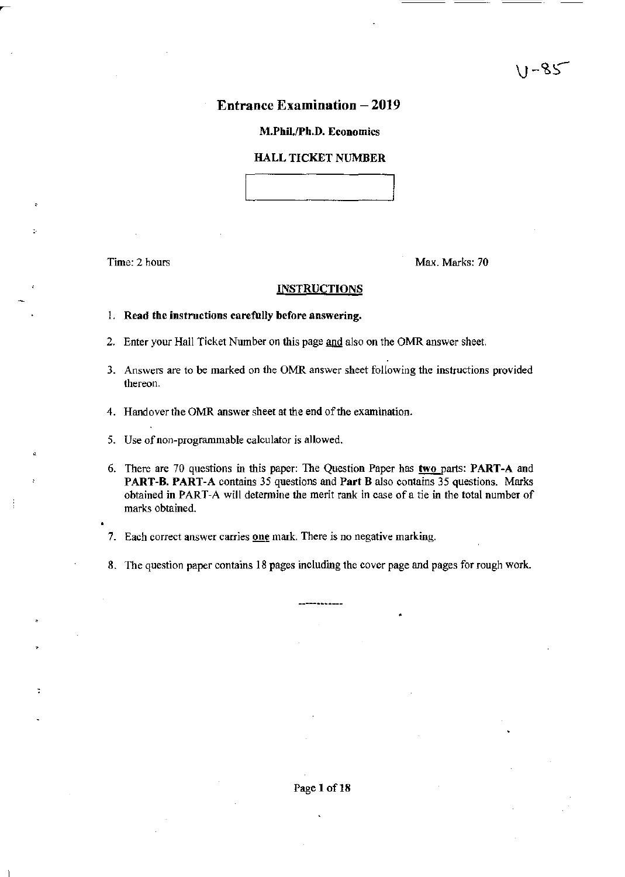## Entrance Examination - 2019

#### M.Phil./Ph.D. Economics

#### HALL TICKET NUMBER

Time: 2 hours Max. Marks: 70

### **INSTRUCTIONS**

- I. Read the instructions carefully before answering.
- 2. Enter your Hall Ticket Number on this page and also on the OMR answer sheet.
- 3. Answers are to be marked on the OMR answer sheet following the instructions provided thereon.
- 4. Handover the OMR answer sheet at the end of the examination.
- 5. Use of non-programmable calculator is allowed.
- 6. There are 70 questions in this paper: The Question Paper has two parts: PART-A and PART-B. PART-A contains 35 questions and Part B also contains 35 questions. Marks obtained in PART-A will detennine the merit rank in case ofa tie in the total number of marks obtained.
- 7. Each correct answer carries one mark. There is no negative marking.
- 8. The question paper contains 18 pages including the cover page and pages for rough work.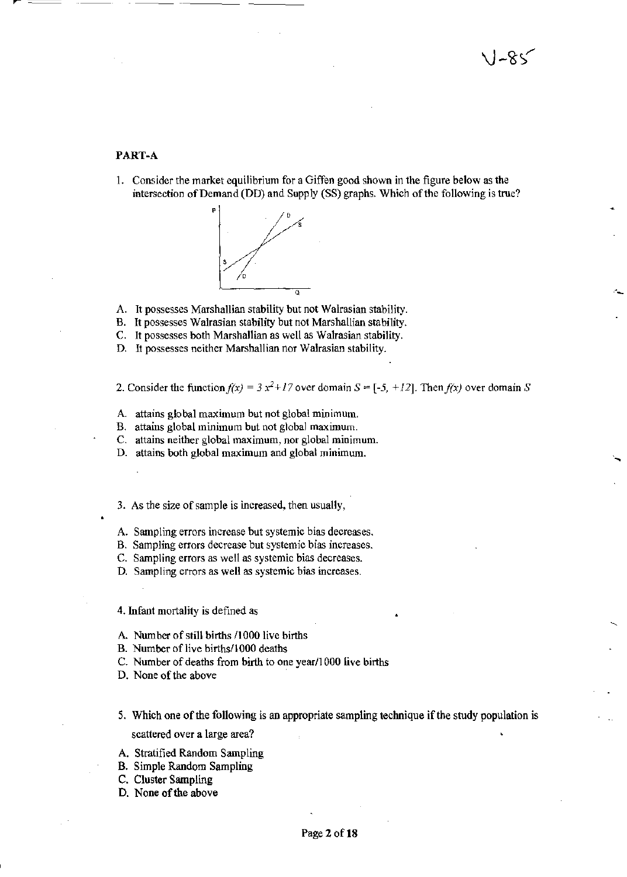#### PART-A

1. Consider the market equilibrium for a Giffen good shown in the figure below as the intersection of Demand (DD) and Supply (SS) graphs. Which of the following is true?



A. It possesses Marshallian stability but not Walrasian stability.

B. It possesses Walrasian stability but not Marshallian stability.

C. It possesses both Marshallian as well as Walrasian stability.

D. It possesses neither MarshalJian nor Walrasian stability.

2. Consider the function  $f(x) = 3x^2 + 17$  over domain  $S = [-5, +12]$ . Then  $f(x)$  over domain S

- A. attains global maximum but not global minimum.
- B. attains global minimum but not global maximum.
- C. attains neither global maximum, nor global minimum.

D. attains both global maximum and global minimum.

3. As the size of sample is increased, then usually,

- A. Sampling errors increase but systemic bias decreases.
- B. Sampling errors decrease but systemic bias increases.
- C. Sampling errors as well as systemic bias decreases.

D. Sampling errors as well as systemic bias increases.

4. Infant mortality is defined as

- A. Number of still births /1000 live births
- B. Number of live births/1000 deaths
- C. Number of deaths from birth to one year/1 000 live births
- D. None of the above
- 5. Which one of the following is an appropriate sampling technique if the study population is scattered over a large area?
- A. Stratified Random Sampling
- B. Simple Random Sampling
- C. Cluster Sampling
- D. None of the above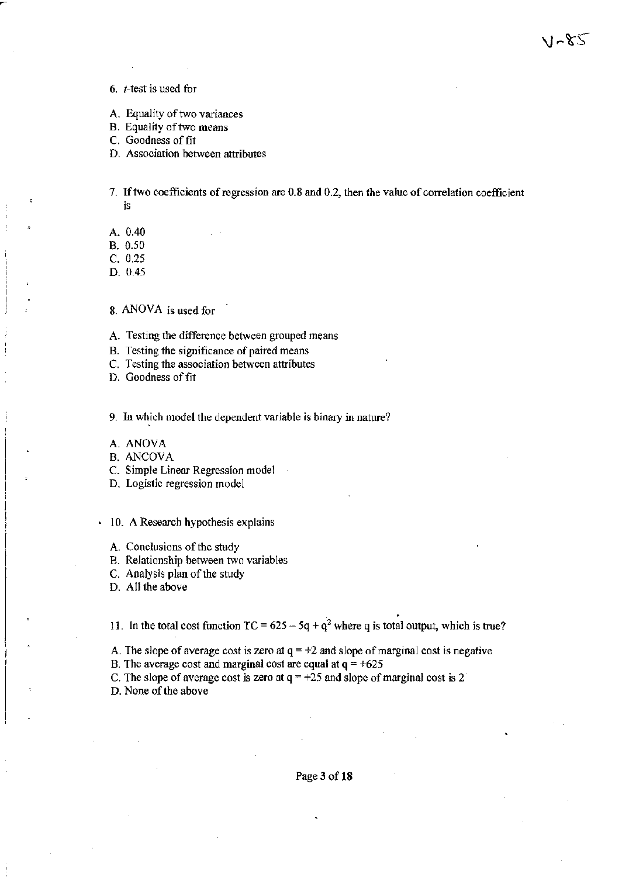6. *-test is used for* 

- A. Equality of two variances
- B. Equality of two means
- C. Goodness of fit
- D. Association between attributes

7. If two coefficients of regression are 0.8 and 0.2, then the value of correlation coefficient is

A. 0.40

B. 0.50

C. 0.25

D. 0.45

8. ANOVA is used for

A. Testing the difference between grouped means

- B. Testing the significance of paired means
- C. Testing the association between attributes
- D. Goodness of fit

9. In which model the dependent variable is binary in nature?

A. ANOYA

- B. ANCOYA
- C. Simple Linear Regression model
- D. Logistic regression model

10. A Research hypothesis explains

- A. Conclusions of the study
- B. Relationship between two variables
- C. Analysis plan of the study
- D. All the above

11. In the total cost function  $TC = 625 - 5q + q^2$  where q is total output, which is true?

A. The slope of average cost is zero at  $q = +2$  and slope of marginal cost is negative

B. The average cost and marginal cost are equal at  $q = +625$ 

C. The slope of average cost is zero at  $q = +25$  and slope of marginal cost is 2

D. None of the above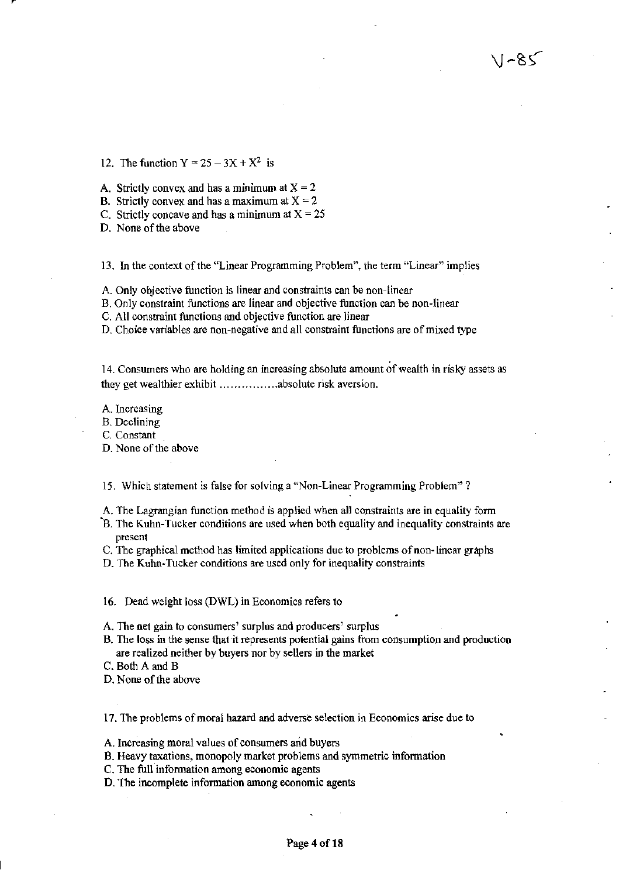12. The function  $Y = 25 - 3X + X^2$  is

A. Strictly convex and has a minimum at  $X = 2$ 

B. Strictly convex and has a maximum at  $X = 2$ 

C. Strictly concave and has a minimum at  $X = 25$ 

D. None of the above

13. In the context of the "Linear Programming Problem", the term "Linear" implies

A. Only objective function is linear and constraints can be non-linear

B. Only constraint functions are linear and objective function can be non-linear

C. All constraint functions and objective function are linear

D. Choice variables are non-negative and all constraint functions are of mixed type

14. Consumers who are holding an increasing absolute amount of wealth in risky assets as they get wealthier exhibit ................ absolute risk aversion.

A. Increasing

B. Declining

C. Constant

D. None of the above

15. Which statement is false for solving a "Non-Linear Programming Problem"?

A. The Lagrangian function method is applied when all constraints are in equality form

"E. The Kuhn-Tucker conditions are used when both equality and inequality constraints are present

C. The graphical method has limited applications due to problems of non-linear graphs

D. The Kuhn-Tucker conditions are used only for inequality constraints

16. Dead weight loss (DWL) in Economics refers to

A. The net gain to consumers' surplus and producers' surplus

- B. The loss in the sense that it represents potential gains from consumption and production are realized neither by buyers nor by sellers in the market
- C. Both A and B

D. None of the above

17. The problems of moral hazard and adverse selection in Economics arise due to

A. Increasing moral values of consumers and buyers

B. Heavy taxations, monopoly market problems and symmetric information

C. The full information among economic agents

D. The incomplete information among economic agents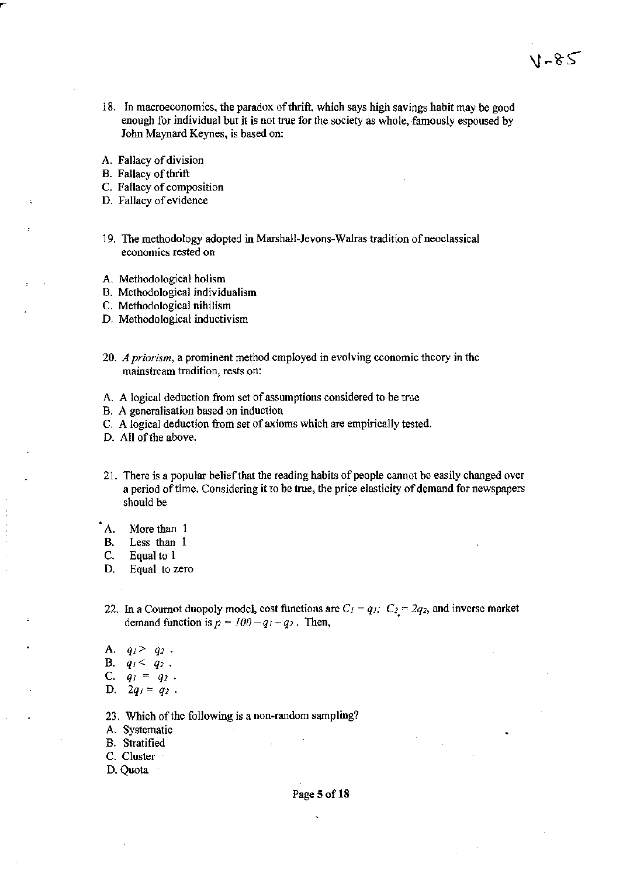18. In macroeconomics, the paradox of thrift, which says high savings habit may be good enough for individual but it is not true for the society as whole, famously espoused by John Maynard Keynes, is based on:

1-85

- A. Fallacy of division
- B. Fallacy of thrift
- C. Fallacy of composition
- D. Fallacy of evidence
- 19. The methodology adopted in Marshall·Jevons-Walras tradition of neoclassical economics rested on
- A. Methodological holism
- B. Methodological individualism
- C. Methodological nihilism
- D. Methodological inductivism
- *20. A priorism,* a prominent method employed in evolving economic theory in the mainstream tradition, rests on:
- A. A logical deduction from set of assumptions considered to be true
- B. A generalisation based on induction
- C. A logical deduction from set of axioms which are empirically tested.
- D. All of the above.
- 21. There is a popular belief that the reading habits of people cannot be easily changed over a period of time. Considering it to be true, the price elasticity of demand for newspapers should be
- A. More than 1
- B. Less than 1
- C. Equal to 1
- D. Equal to zero
- 22. In a Cournot duopoly model, cost functions are  $C_1 = q_1$ ;  $C_2 = 2q_2$ , and inverse market demand function is  $p = 100 - q_1 - q_2$ . Then,
- A.  $q_1 > q_2$ .
- **B.**  $q_1 < q_2$ .
- C.  $q_1 = q_2$ .
- D.  $2q_1 = q_2$ .
- 23. Which of the following is a non-random sampling?
- A. Systematic
- B. Stratified
- C. Cluster
- D. Quota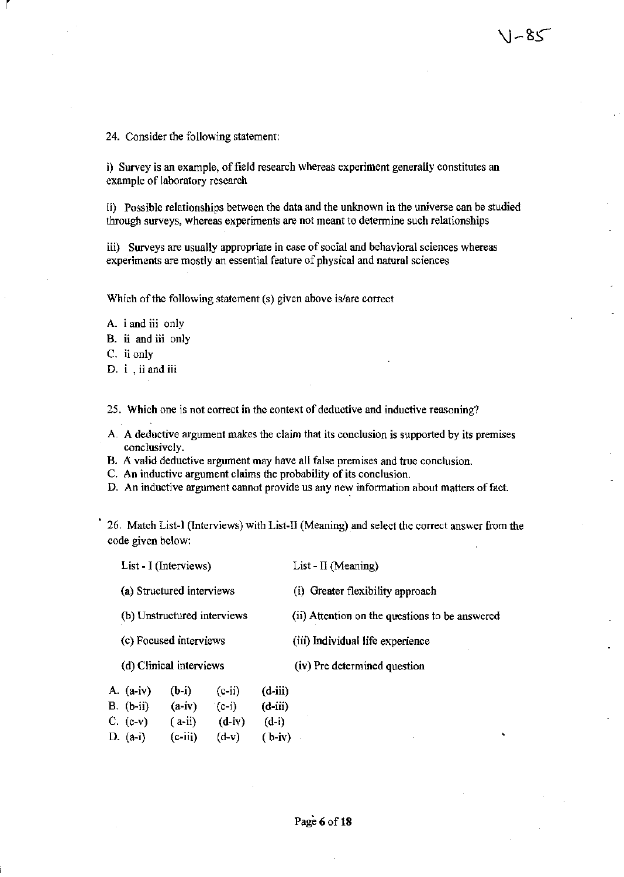i) Survey is an example, of field research whereas experiment generally constitutes an example of laboratory research

ii) Possible relationships between the data and the unknown in the universe can be studied through surveys, whereas experiments are not meant to determine such relationships

 $1 - 85$ 

iii) Surveys are usually appropriate in case of social and behavioral sciences whereas experiments are mostly an essential feature of physical and natural sciences

Which of the following statement (5) given above is/are correct

A. i and iii only

B. ii and iii only

C. ii only

r

D. i , ii and iii

25. Which one is not correct in the context of deductive and inductive reasoning?

- A. A deductive argument makes the claim that its conclusion is supported by its premises conclusively.
- B. A valid deductive argument may have all false premises and true conclusion.
- C. An inductive argument claims the probability of its conclusion.
- D. An inductive argument cannot provide us any new information about matters of fact.

26. Match List-l (Interviews) with List-II (Meaning) and select the correct answer from the code given below:

|                         | List - I (Interviews)                                 |                     |                     | List - $\Pi$ (Meaning)                         |                                  |  |  |
|-------------------------|-------------------------------------------------------|---------------------|---------------------|------------------------------------------------|----------------------------------|--|--|
|                         | (a) Structured interviews                             |                     |                     |                                                | (i) Greater flexibility approach |  |  |
|                         | (b) Unstructured interviews<br>(c) Focused interviews |                     |                     | (ii) Attention on the questions to be answered |                                  |  |  |
|                         |                                                       |                     |                     | (iii) Individual life experience               |                                  |  |  |
| (d) Clinical interviews |                                                       |                     |                     | (iv) Pre determined question                   |                                  |  |  |
|                         | A. $(a-iv)$<br>B. (b-ii)                              | $(b-i)$<br>$(a-iv)$ | $(c-ii)$<br>$(c-i)$ | $(d$ -iii)<br>$(d-iii)$                        |                                  |  |  |

| $C. (c-v)$ | $(a-ii)$  | $(d-iv)$ | $(d-i)$  |
|------------|-----------|----------|----------|
| D. (a-i)   | $(c-iii)$ | $(d-v)$  | $(b-iv)$ |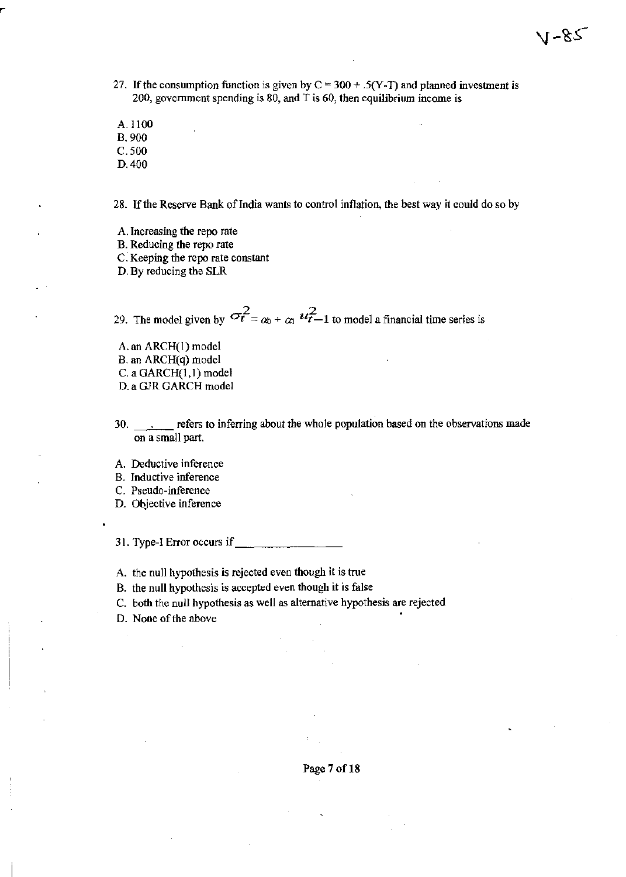- 27. If the consumption function is given by  $C = 300 + .5(Y-T)$  and planned investment is 200, government spending is 80, and T is 60, then equilibrium income is
- A.1I00

B. 900

C.500

D.400

28. If the Reserve Bank of India wants to control inflation, the best way it could do so by

- A. Increasing the repo rate
- B. Reducing the repo rate
- C. Keeping the repo rate constant
- D. By reducing the SLR

29. The model given by  $\sigma_t^2 = \alpha_0 + \alpha_1 \frac{u_t^2}{t-1}$  to model a financial time series is

- A. an ARCH(l) model B. an ARCH(q) model C. a GARCH(I,l) model D. a GJR GARCH model
- 30. refers to inferring about the whole population based on the observations made on a small part.

A. Deductive inference

B. Inductive inference

C. Pseudo~inference

D. Objective inference

31. Type-I Error occurs if

A. the null hypothesis is rejected even though it is true

B. the null hypothesis is accepted even though it is false

C. both the null hypothesis as well as alternative hypothesis are rejected

D. None of the above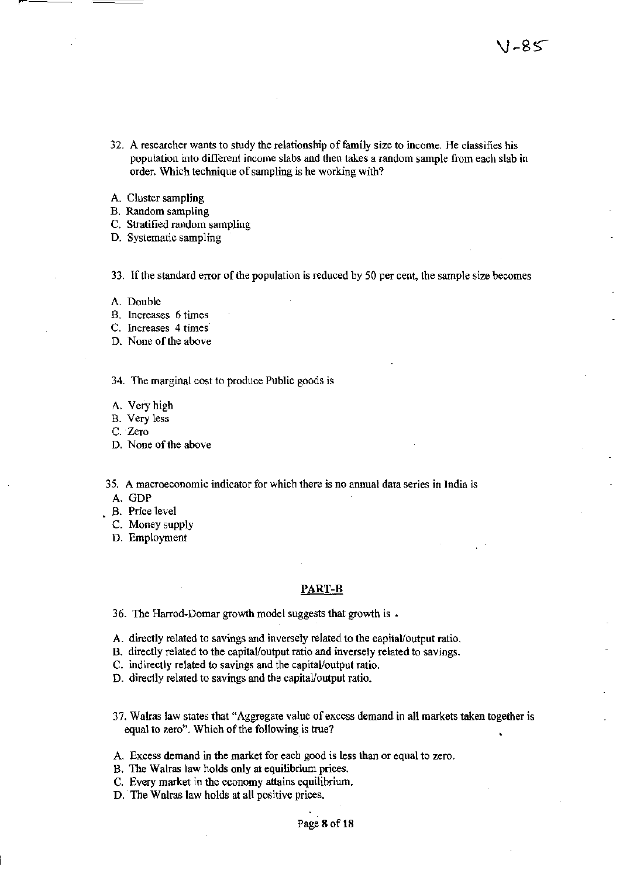- 32. A researcher wants to study the relationship of family size to income. He classifies his population into different income slabs and then takes a random sample from each slab in order. Which technique of sampling is he working with?
- A. Cluster sampling
- B. Random sampling
- C. Stratified random sampling
- D. Systematic sampling

33. Ifthe standard error of the population is reduced by 50 per cent, the sample size becomes

- A. Double
- B. Increases 6 times
- C. Increases 4 times
- D. None of the above

34. The marginal cost to produce Public goods is

- A. Very high
- B. Very less
- C. Zero
- D. None of the above

35. A macroeconomic indicator for which there is no annual data series in India is

- A. GDP
- B. Price level
	- C. Money supply
	- D. Employment

#### PART-B

36. The Harrod-Damar growth model suggests that growth is •

- A. directly related to savings and inversely related to the capitaVoutput ratio.
- B. directly related to the capital/output ratio and inversely related to savings.
- C. indirectly related to savings and the capital/output ratio.
- D. directly related to savings and the capital/output ratio.
- 37. Walras law states that" Aggregate value of excess demand in all markets taken together is equal to zero". Which of the following is true?
- A. Excess demand in the market for each good is less than or equal to zero.
- B. The Walras law holds only at equilibrium prices.
- C. Every market in the economy attains equilibrium.
- D. The Walras law holds at all positive prices.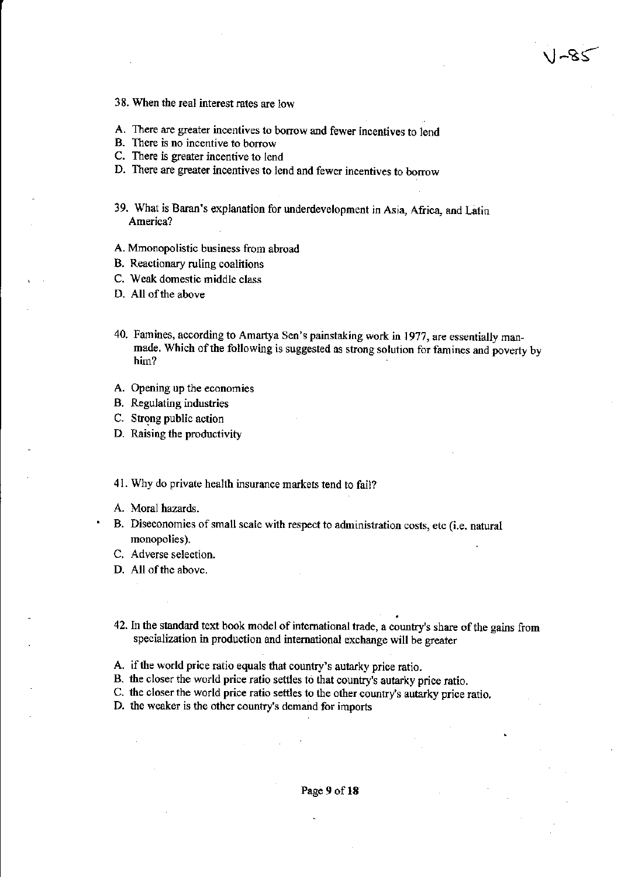- 38. When the real interest rates are low
- A. There are greater incentives to borrow and fewer incentives to lend
- B. There is no incentive to borrow
- C. There is greater incentive to lend
- D. There are greater incentives to lend and fewer incentives to borrow
- 39. What is Baran's explanation for underdevelopment in Asia, Africa, and Latin America?
- A. Mmonopoiistic business from abroad
- B. Reactionary ruling coalitions
- C. Weak domestic middle class
- D. All of the above
- 40. Famines, according to Amartya Sen's painstaking work in 1977, are essentially manmade. Which of the following is suggested as strong solution for famines and poverty by him?
- A. Opening up the economies
- B. Regulating industries
- C. Strong public action
- D. Raising the productivity

41. Why do private health insurance markets tend to fail?

- A. Moral hazards.
- B. Diseconomies of small scale with respect to administration costs, etc (i.e. natural monopolies).
- C. Adverse selection.
- D. All of the above.
- 42. In the standard text book model of international trade, a country's share of the gains from specialization in production and international exchange will be greater
- A. if the world price ratio equals that country's autarky price ratio.
- B. the closer the world price ratio settles to that country's autarky price ratio.
- C. the closer the world price ratio settles to the other country's autarky price ratio.
- D. the weaker is the other country's demand for imports

Page 9 of 18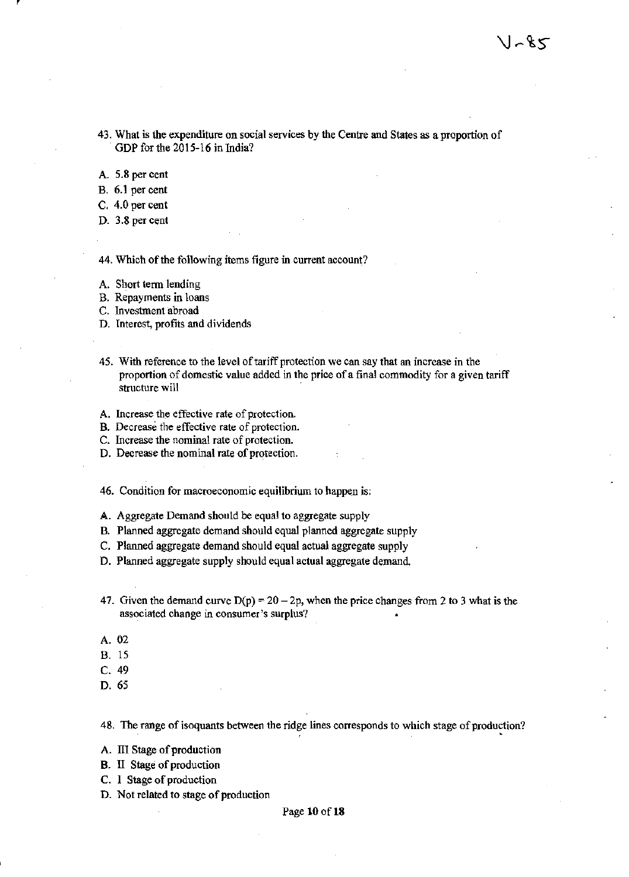43. What is the expenditure on social services by the Centre and States as a proportion of GDP for the 2015-16 in India?

A. 5.8 per cent

B. 6.1 per cent

C. 4.0 per cent

D. 3.8 per cent

44. Which of the following items figure in current account?

A. Short term lending

B. Repayments in loans

C. Investment abroad

D. Interest, profits and dividends

- 45. With reference to the level of tariff protection we can say that an increase in the proportion of domestic value added in the price of a final commodity for a given tariff structure will
- A. Increase the effective rate of protection.

B. Decrease the effective rate of protection.

C. Increase the nominal rate of protection.

D. Decrease the nominal rate of protection.

46. Condition for macroeconomic equilibrium to happen is:

A. Aggregate Demand should be equal to aggregate supply

B. Planned aggregate demand should equal planned aggregate supply

C. Planned aggregate demand should equal actual aggregate supply

D. Planned aggregate supply should equal actual aggregate demand

- 47. Given the demand curve  $D(p) = 20 2p$ , when the price changes from 2 to 3 what is the associated change in consumer's surplus?
- A.02

B. 15

- C. 49
- D. 65

48. The range of isoquants between the ridge lines corresponds to which stage of production?

A. III Stage of production

B. II Stage of production

- C. I Stage of production
- D. Not related to stage of production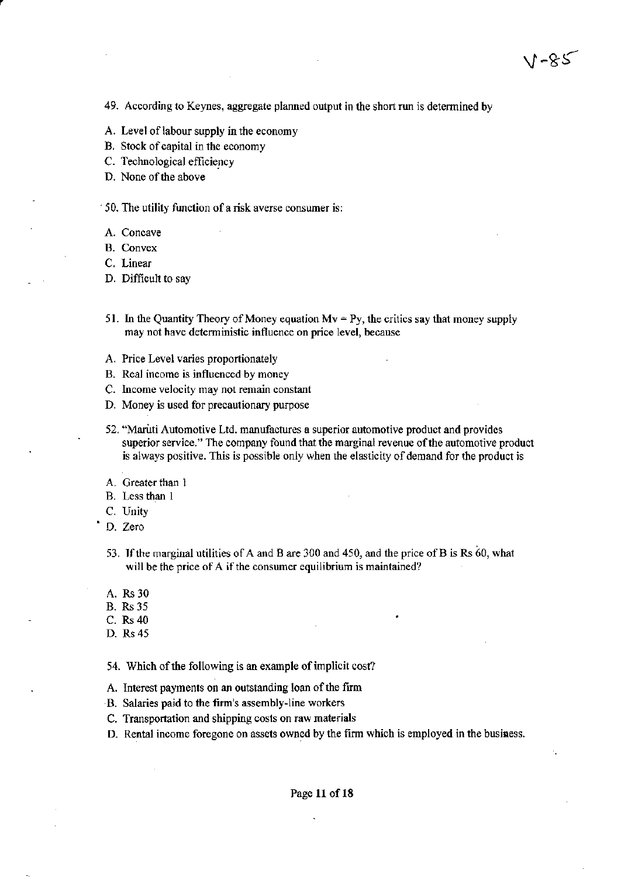49. According to Keynes, aggregate planned output in the short run is determined by

- A. Level of labour supply in the economy
- B. Stock of capital in the economy
- C. Technological efficiency
- D. None of the above

 $\leq$  50. The utility function of a risk averse consumer is:

- A. Concave
- B. Convex
- C. Linear
- D. Difficult to say
- 51. In the Quantity Theory of Money equation  $Mv = Py$ , the critics say that money supply may not have deterministic influence on price level, because
- A. Price Level varies proportionately
- B. Real income is influenced by money
- C. Income velocity may not remain constant
- D. Money is used for precautionary purpose
- 52. "Maritti Automotive Ltd. manufactures a superior automotive product and provides superior service." The company found that the marginal revenue of the automotive product is always positive. This is possible only when the elasticity of demand for the product is
- A. Greater than 1
- B. Less than 1
- C. Unity
- D. Zero
- 53. If the marginal utilities of A and B are 300 and 450, and the price of B is Rs 60, what will be the price of A if the consumer equilibrium is maintained?
- A. Rs 30
- B. Rs 35
- C. Rs40
- D. Rs 45

54. Which of the following is an example of implicit cost?

- A. Interest payments on an outstanding loan of the fum
- B. Salaries paid to the firm's assembly~line workers
- C. Transportation and shipping costs on raw materials
- D. Rental income foregone on assets owned by the firm which is employed in the business.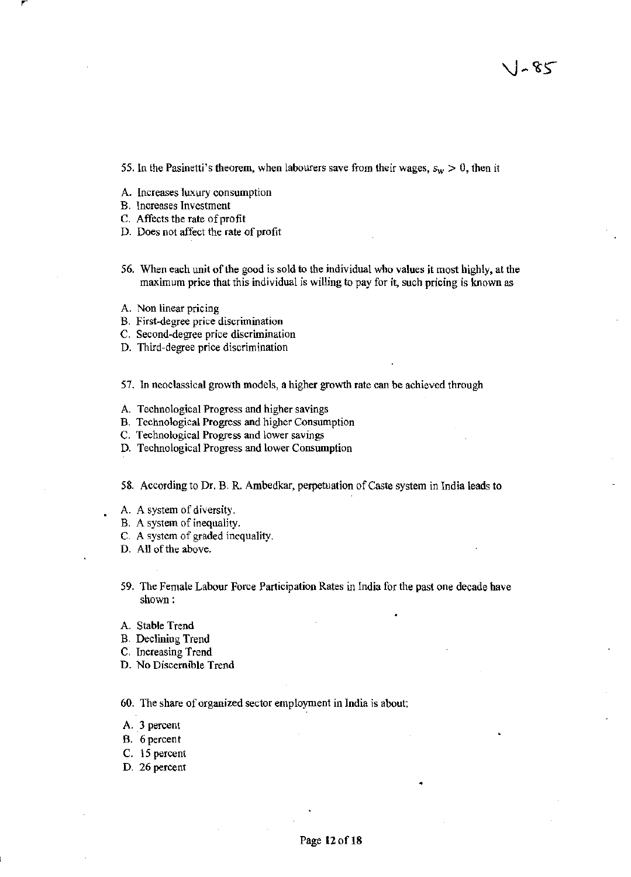55. In the Pasinetti's theorem, when labourers save from their wages,  $s_w > 0$ , then it

- A. Increases luxury consumption
- B. Increases Investment
- C. Affects the rate of profit
- D. Does not affect the rate of profit
- 56. When each unit of the good is sold to the individual who values it most highly, at the maximum price that this individual is willing to pay for it, such pricing is known as
- A. Non linear pricing
- B. First~degree price discrimination
- C. Second-degree price discrimination
- D. Third-degree price discrimination

57. In neoclassical growth models, a higher growth rate can be achieved through

- A. Technological Progress and higher savings
- B. Technological Progress and higher Consumption
- C. Technological Progress and lower savings
- D. Technological Progress and lower Consumption

58. According to Dr. B. R. Ambedkar, perpetuation of Caste system in India leads to

- A. A system of diversity.
- B. A system of inequality.
- C. A system of graded inequality.
- D. All of the above.
- 59. The Female Labour Force Participation Rates in India for the past one decade have shown :
- A. Stable Trend
- B. Declining Trend
- C. Increasing Trend
- D. No Discernible Trend

60. The share of organized sector employment in India is about:

- A. 3 percent
- B. 6percent
- C. 15 percent
- D. 26 percent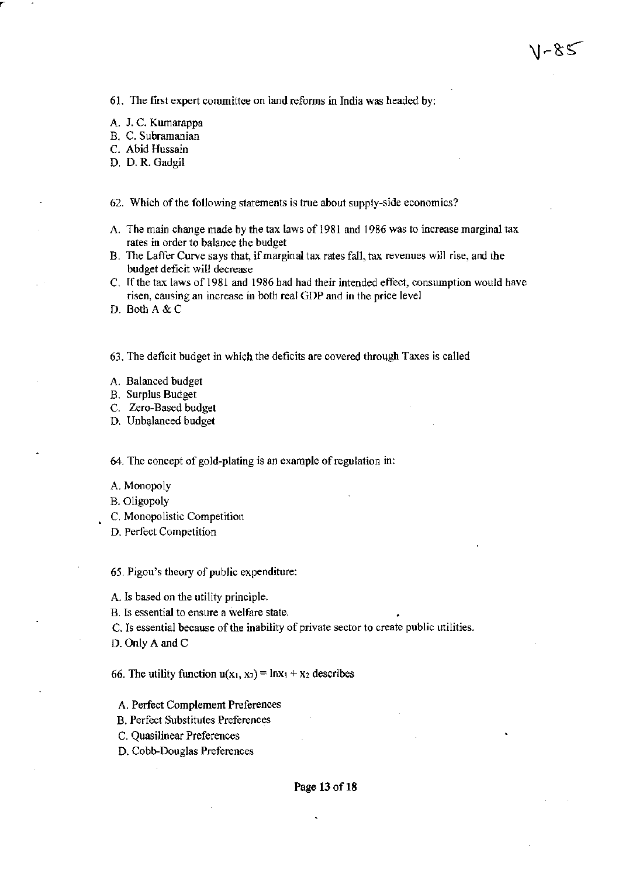61. The first expert committee on land refonns in India was headed by:

A. J. C. Kumarappa

B. C. Subramanian

C. Abid Hussain

D. D. R. Gadgil

62. Which of the following statements is true about supply-side economics?

A. The main change made by the tax laws of 1981 and 1986 was to increase marginal tax rates in order to balance the budget

\l~&≤

- B. The Laffer Curve says that, if marginal tax rates fall, tax revenues will rise, and the budget deficit will decrease
- C. If the tax laws of 1981 and 1986 bad had their intended effect, conswnption would have risen, causing an increase in botb real GDP and in the price level
- D. Both A & C

63. The deficit budget in which the deficits are covered through Taxes is called

- A. Balanced budget
- B. Surplus Budget
- C. Zero-Based budget
- D. Unbalanced budget

64. The concept of gold-plating is an example of regulation in:

- A. Monopoly
- B. Oligopoly
- C. Monopolistic Competition
- D. Perfect Competition

65. Pigou's theory of public expenditure:

A. Is based on the utility principle.

B. Is essential to ensure a welfare state.

C. Is essential because of the inability of private sector to create public utilities.

D. Only A and C

66. The utility function  $u(x_1, x_2) = \ln x_1 + x_2$  describes

- A. Perrect Complement Preferences
- B. Perfect Substitutes Preferences
- C. Quasilinear Preferences
- D. Cobb-Douglas Preferences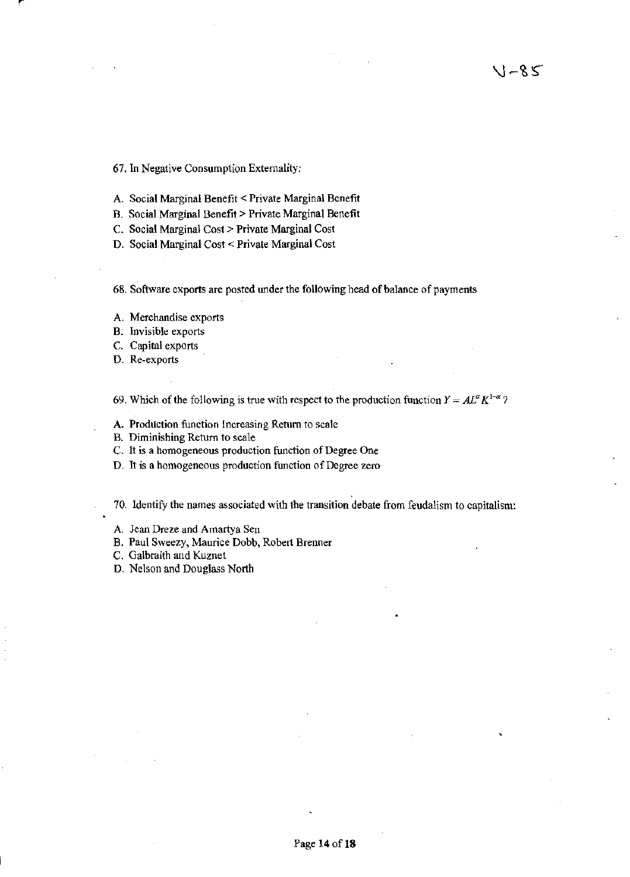67. In Negative Consumption Externality:

- A. Social Marginal Benefit < Private Marginal Benefit
- B. Social Marginal Benefit> Private Marginal Benefit
- C. Social Marginal Cost> Private Marginal Cost
- D. Social Marginal Cost < Private Marginal Cost
- 68. Software exports are posted under the following head of balance of payments
- A. Merchandise exports
- B. Tnvisible exports
- C. Capital exports
- D. Re-exports

69. Which of the following is true with respect to the production function  $Y = AL^{\alpha} K^{1-\alpha}$ ?

- A. Production function Increasing Return to scale
- B. Diminishing Return to scale
- C. It is a homogeneous production function of Degree One
- D. It is a homogeneous production function of Degree zero

70. Identify the names associated with the transition debate from feudalism to capitalism:

- A. Jean Dreze and Amartya Sen
- B. Paul Sweezy, Maurice Dobb, Robert Brenner
- C. Galbraith and Kuznet
- D. Nelson and Douglass North